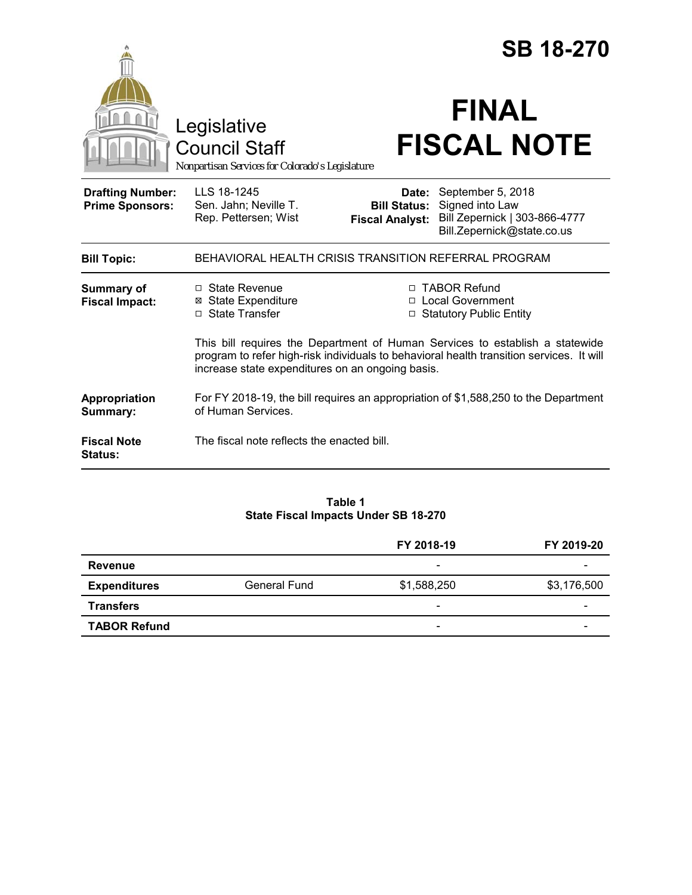|                                                   |                                                                                                                                                                                                                              |                                 | <b>SB 18-270</b>                                                                                                        |  |
|---------------------------------------------------|------------------------------------------------------------------------------------------------------------------------------------------------------------------------------------------------------------------------------|---------------------------------|-------------------------------------------------------------------------------------------------------------------------|--|
|                                                   | Legislative<br><b>Council Staff</b><br>Nonpartisan Services for Colorado's Legislature                                                                                                                                       |                                 | <b>FINAL</b><br><b>FISCAL NOTE</b>                                                                                      |  |
| <b>Drafting Number:</b><br><b>Prime Sponsors:</b> | LLS 18-1245<br>Sen. Jahn; Neville T.<br>Rep. Pettersen; Wist                                                                                                                                                                 | Date:<br><b>Fiscal Analyst:</b> | September 5, 2018<br><b>Bill Status:</b> Signed into Law<br>Bill Zepernick   303-866-4777<br>Bill.Zepernick@state.co.us |  |
| <b>Bill Topic:</b>                                | BEHAVIORAL HEALTH CRISIS TRANSITION REFERRAL PROGRAM                                                                                                                                                                         |                                 |                                                                                                                         |  |
| <b>Summary of</b><br><b>Fiscal Impact:</b>        | □ State Revenue<br><b>⊠</b> State Expenditure<br>□ State Transfer                                                                                                                                                            |                                 | □ TABOR Refund<br>□ Local Government<br><b>Statutory Public Entity</b>                                                  |  |
|                                                   | This bill requires the Department of Human Services to establish a statewide<br>program to refer high-risk individuals to behavioral health transition services. It will<br>increase state expenditures on an ongoing basis. |                                 |                                                                                                                         |  |
| Appropriation<br>Summary:                         | For FY 2018-19, the bill requires an appropriation of \$1,588,250 to the Department<br>of Human Services.                                                                                                                    |                                 |                                                                                                                         |  |
| <b>Fiscal Note</b><br><b>Status:</b>              | The fiscal note reflects the enacted bill.                                                                                                                                                                                   |                                 |                                                                                                                         |  |

## **Table 1 State Fiscal Impacts Under SB 18-270**

|                     |                     | FY 2018-19               | FY 2019-20               |
|---------------------|---------------------|--------------------------|--------------------------|
| Revenue             |                     | $\overline{\phantom{0}}$ |                          |
| <b>Expenditures</b> | <b>General Fund</b> | \$1,588,250              | \$3,176,500              |
| <b>Transfers</b>    |                     | $\overline{\phantom{a}}$ |                          |
| <b>TABOR Refund</b> |                     | $\overline{\phantom{a}}$ | $\overline{\phantom{0}}$ |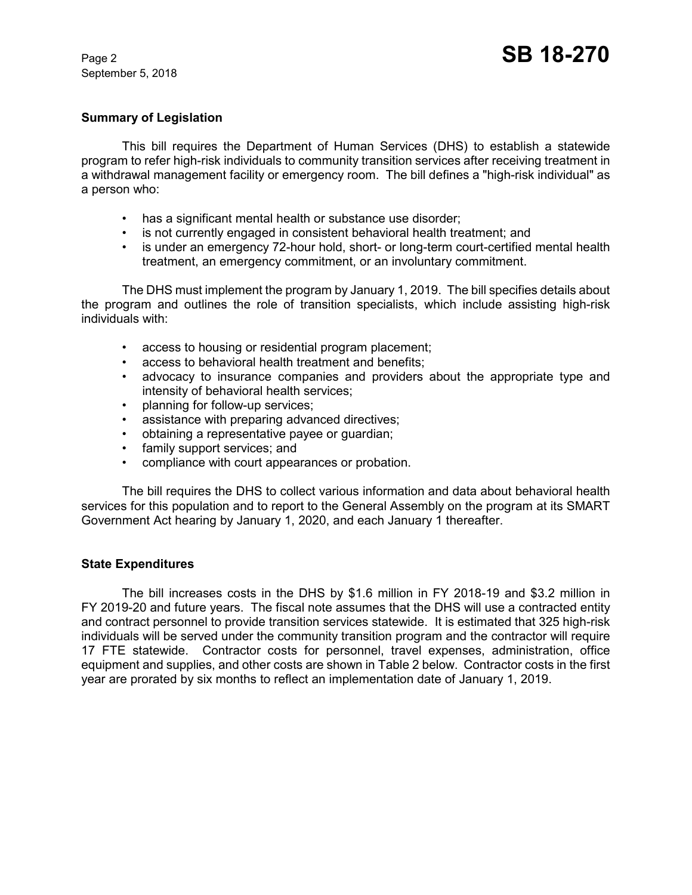September 5, 2018

### **Summary of Legislation**

This bill requires the Department of Human Services (DHS) to establish a statewide program to refer high-risk individuals to community transition services after receiving treatment in a withdrawal management facility or emergency room. The bill defines a "high-risk individual" as a person who:

- has a significant mental health or substance use disorder;
- is not currently engaged in consistent behavioral health treatment; and
- is under an emergency 72-hour hold, short- or long-term court-certified mental health treatment, an emergency commitment, or an involuntary commitment.

The DHS must implement the program by January 1, 2019. The bill specifies details about the program and outlines the role of transition specialists, which include assisting high-risk individuals with:

- access to housing or residential program placement;
- access to behavioral health treatment and benefits;
- advocacy to insurance companies and providers about the appropriate type and intensity of behavioral health services;
- planning for follow-up services;
- assistance with preparing advanced directives;
- obtaining a representative payee or guardian;
- family support services; and
- compliance with court appearances or probation.

The bill requires the DHS to collect various information and data about behavioral health services for this population and to report to the General Assembly on the program at its SMART Government Act hearing by January 1, 2020, and each January 1 thereafter.

### **State Expenditures**

The bill increases costs in the DHS by \$1.6 million in FY 2018-19 and \$3.2 million in FY 2019-20 and future years. The fiscal note assumes that the DHS will use a contracted entity and contract personnel to provide transition services statewide. It is estimated that 325 high-risk individuals will be served under the community transition program and the contractor will require 17 FTE statewide. Contractor costs for personnel, travel expenses, administration, office equipment and supplies, and other costs are shown in Table 2 below. Contractor costs in the first year are prorated by six months to reflect an implementation date of January 1, 2019.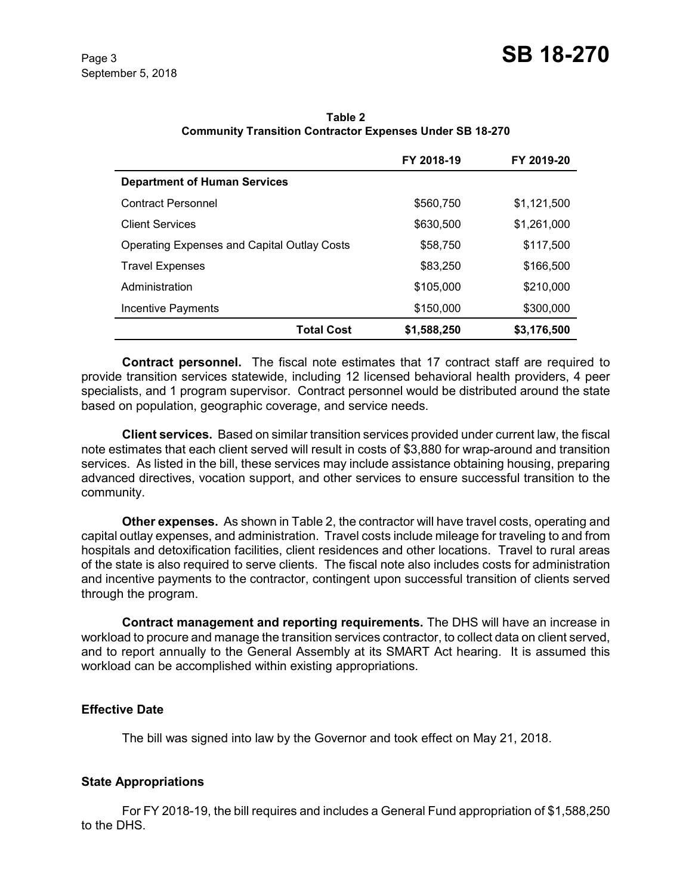|                                                    | FY 2018-19  | FY 2019-20  |
|----------------------------------------------------|-------------|-------------|
| <b>Department of Human Services</b>                |             |             |
| <b>Contract Personnel</b>                          | \$560,750   | \$1,121,500 |
| <b>Client Services</b>                             | \$630,500   | \$1,261,000 |
| <b>Operating Expenses and Capital Outlay Costs</b> | \$58,750    | \$117,500   |
| <b>Travel Expenses</b>                             | \$83,250    | \$166,500   |
| Administration                                     | \$105,000   | \$210,000   |
| Incentive Payments                                 | \$150,000   | \$300,000   |
| <b>Total Cost</b>                                  | \$1,588,250 | \$3,176,500 |

**Table 2 Community Transition Contractor Expenses Under SB 18-270**

**Contract personnel.** The fiscal note estimates that 17 contract staff are required to provide transition services statewide, including 12 licensed behavioral health providers, 4 peer specialists, and 1 program supervisor. Contract personnel would be distributed around the state based on population, geographic coverage, and service needs.

**Client services.** Based on similar transition services provided under current law, the fiscal note estimates that each client served will result in costs of \$3,880 for wrap-around and transition services. As listed in the bill, these services may include assistance obtaining housing, preparing advanced directives, vocation support, and other services to ensure successful transition to the community.

**Other expenses.** As shown in Table 2, the contractor will have travel costs, operating and capital outlay expenses, and administration. Travel costs include mileage for traveling to and from hospitals and detoxification facilities, client residences and other locations. Travel to rural areas of the state is also required to serve clients. The fiscal note also includes costs for administration and incentive payments to the contractor, contingent upon successful transition of clients served through the program.

**Contract management and reporting requirements.** The DHS will have an increase in workload to procure and manage the transition services contractor, to collect data on client served, and to report annually to the General Assembly at its SMART Act hearing. It is assumed this workload can be accomplished within existing appropriations.

# **Effective Date**

The bill was signed into law by the Governor and took effect on May 21, 2018.

# **State Appropriations**

For FY 2018-19, the bill requires and includes a General Fund appropriation of \$1,588,250 to the DHS.